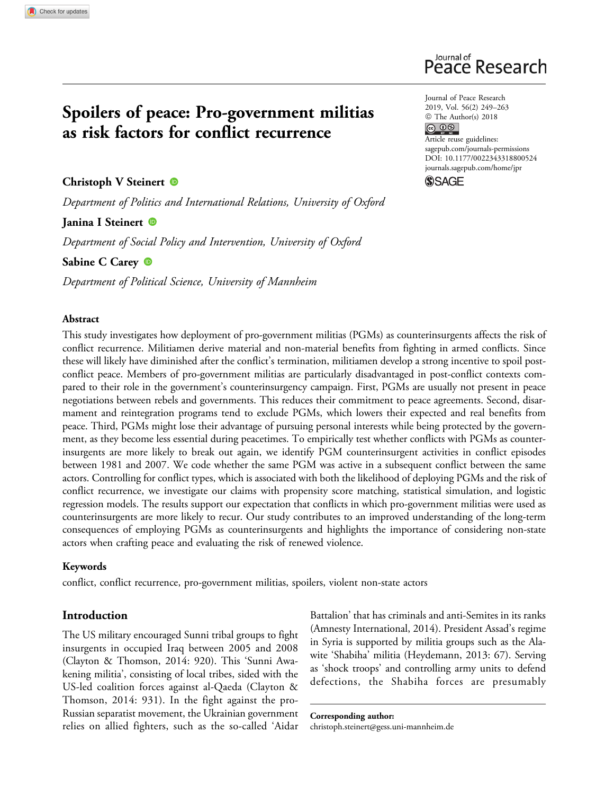# Spoilers of peace: Pro-government militias as risk factors for conflict recurrence

# Christoph V Steinert <sup>®</sup>

Department of Politics and International Relations, University of Oxford

### Janina I Steinert

Department of Social Policy and Intervention, University of Oxford

Sabine C Carey <sup>®</sup>

Department of Political Science, University of Mannheim

### Abstract

This study investigates how deployment of pro-government militias (PGMs) as counterinsurgents affects the risk of conflict recurrence. Militiamen derive material and non-material benefits from fighting in armed conflicts. Since these will likely have diminished after the conflict's termination, militiamen develop a strong incentive to spoil postconflict peace. Members of pro-government militias are particularly disadvantaged in post-conflict contexts compared to their role in the government's counterinsurgency campaign. First, PGMs are usually not present in peace negotiations between rebels and governments. This reduces their commitment to peace agreements. Second, disarmament and reintegration programs tend to exclude PGMs, which lowers their expected and real benefits from peace. Third, PGMs might lose their advantage of pursuing personal interests while being protected by the government, as they become less essential during peacetimes. To empirically test whether conflicts with PGMs as counterinsurgents are more likely to break out again, we identify PGM counterinsurgent activities in conflict episodes between 1981 and 2007. We code whether the same PGM was active in a subsequent conflict between the same actors. Controlling for conflict types, which is associated with both the likelihood of deploying PGMs and the risk of conflict recurrence, we investigate our claims with propensity score matching, statistical simulation, and logistic regression models. The results support our expectation that conflicts in which pro-government militias were used as counterinsurgents are more likely to recur. Our study contributes to an improved understanding of the long-term consequences of employing PGMs as counterinsurgents and highlights the importance of considering non-state actors when crafting peace and evaluating the risk of renewed violence.

### Keywords

conflict, conflict recurrence, pro-government militias, spoilers, violent non-state actors

### Introduction

The US military encouraged Sunni tribal groups to fight insurgents in occupied Iraq between 2005 and 2008 (Clayton & Thomson, 2014: 920). This 'Sunni Awakening militia', consisting of local tribes, sided with the US-led coalition forces against al-Qaeda (Clayton & Thomson, 2014: 931). In the fight against the pro-Russian separatist movement, the Ukrainian government relies on allied fighters, such as the so-called 'Aidar Battalion' that has criminals and anti-Semites in its ranks (Amnesty International, 2014). President Assad's regime in Syria is supported by militia groups such as the Alawite 'Shabiha' militia (Heydemann, 2013: 67). Serving as 'shock troops' and controlling army units to defend defections, the Shabiha forces are presumably

Corresponding author: [christoph.steinert@gess.uni-mannheim.de](mailto:christoph.steinert@gess.uni-mannheim.de)

Journal of Peace Research 2019, Vol. 56(2) 249–263  $\circledcirc$  The Author(s) 2018<br>  $\circledcirc$   $\circledcirc$ Article reuse guidelines: [sagepub.com/journals-permissions](https://sagepub.com/journals-permissions) [DOI: 10.1177/0022343318800524](https://doi.org/10.1177/0022343318800524) [journals.sagepub.com/home/jpr](http://journals.sagepub.com/home/jpr)

**SSAGE** 

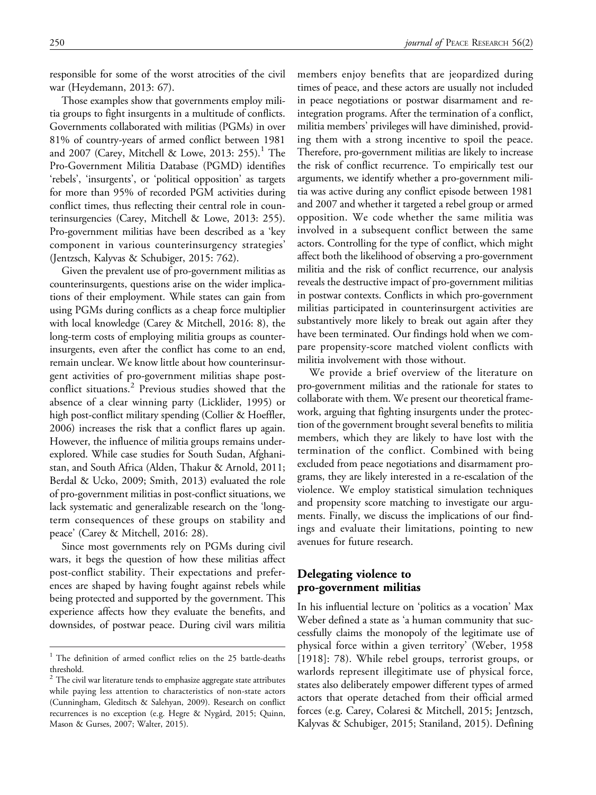responsible for some of the worst atrocities of the civil war (Heydemann, 2013: 67).

Those examples show that governments employ militia groups to fight insurgents in a multitude of conflicts. Governments collaborated with militias (PGMs) in over 81% of country-years of armed conflict between 1981 and 2007 (Carey, Mitchell & Lowe, 2013: 255).<sup>1</sup> The Pro-Government Militia Database (PGMD) identifies 'rebels', 'insurgents', or 'political opposition' as targets for more than 95% of recorded PGM activities during conflict times, thus reflecting their central role in counterinsurgencies (Carey, Mitchell & Lowe, 2013: 255). Pro-government militias have been described as a 'key component in various counterinsurgency strategies' (Jentzsch, Kalyvas & Schubiger, 2015: 762).

Given the prevalent use of pro-government militias as counterinsurgents, questions arise on the wider implications of their employment. While states can gain from using PGMs during conflicts as a cheap force multiplier with local knowledge (Carey & Mitchell, 2016: 8), the long-term costs of employing militia groups as counterinsurgents, even after the conflict has come to an end, remain unclear. We know little about how counterinsurgent activities of pro-government militias shape postconflict situations.<sup>2</sup> Previous studies showed that the absence of a clear winning party (Licklider, 1995) or high post-conflict military spending (Collier & Hoeffler, 2006) increases the risk that a conflict flares up again. However, the influence of militia groups remains underexplored. While case studies for South Sudan, Afghanistan, and South Africa (Alden, Thakur & Arnold, 2011; Berdal & Ucko, 2009; Smith, 2013) evaluated the role of pro-government militias in post-conflict situations, we lack systematic and generalizable research on the 'longterm consequences of these groups on stability and peace' (Carey & Mitchell, 2016: 28).

Since most governments rely on PGMs during civil wars, it begs the question of how these militias affect post-conflict stability. Their expectations and preferences are shaped by having fought against rebels while being protected and supported by the government. This experience affects how they evaluate the benefits, and downsides, of postwar peace. During civil wars militia members enjoy benefits that are jeopardized during times of peace, and these actors are usually not included in peace negotiations or postwar disarmament and reintegration programs. After the termination of a conflict, militia members' privileges will have diminished, providing them with a strong incentive to spoil the peace. Therefore, pro-government militias are likely to increase the risk of conflict recurrence. To empirically test our arguments, we identify whether a pro-government militia was active during any conflict episode between 1981 and 2007 and whether it targeted a rebel group or armed opposition. We code whether the same militia was involved in a subsequent conflict between the same actors. Controlling for the type of conflict, which might affect both the likelihood of observing a pro-government militia and the risk of conflict recurrence, our analysis reveals the destructive impact of pro-government militias in postwar contexts. Conflicts in which pro-government militias participated in counterinsurgent activities are substantively more likely to break out again after they have been terminated. Our findings hold when we compare propensity-score matched violent conflicts with militia involvement with those without.

We provide a brief overview of the literature on pro-government militias and the rationale for states to collaborate with them. We present our theoretical framework, arguing that fighting insurgents under the protection of the government brought several benefits to militia members, which they are likely to have lost with the termination of the conflict. Combined with being excluded from peace negotiations and disarmament programs, they are likely interested in a re-escalation of the violence. We employ statistical simulation techniques and propensity score matching to investigate our arguments. Finally, we discuss the implications of our findings and evaluate their limitations, pointing to new avenues for future research.

# Delegating violence to pro-government militias

In his influential lecture on 'politics as a vocation' Max Weber defined a state as 'a human community that successfully claims the monopoly of the legitimate use of physical force within a given territory' (Weber, 1958 [1918]: 78). While rebel groups, terrorist groups, or warlords represent illegitimate use of physical force, states also deliberately empower different types of armed actors that operate detached from their official armed forces (e.g. Carey, Colaresi & Mitchell, 2015; Jentzsch, Kalyvas & Schubiger, 2015; Staniland, 2015). Defining

<sup>&</sup>lt;sup>1</sup> The definition of armed conflict relies on the 25 battle-deaths threshold.

 $2$  The civil war literature tends to emphasize aggregate state attributes while paying less attention to characteristics of non-state actors (Cunningham, Gleditsch & Salehyan, 2009). Research on conflict recurrences is no exception (e.g. Hegre & Nygård, 2015; Quinn, Mason & Gurses, 2007; Walter, 2015).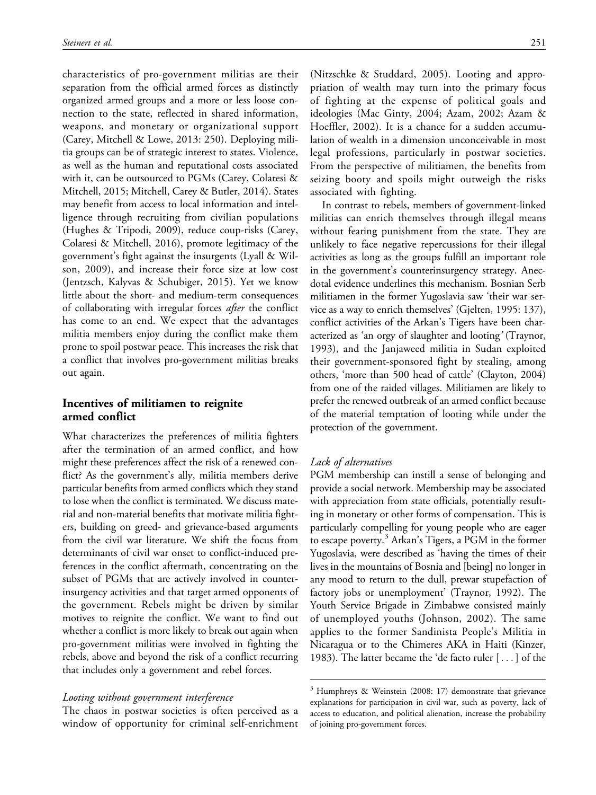characteristics of pro-government militias are their separation from the official armed forces as distinctly organized armed groups and a more or less loose connection to the state, reflected in shared information, weapons, and monetary or organizational support (Carey, Mitchell & Lowe, 2013: 250). Deploying militia groups can be of strategic interest to states. Violence, as well as the human and reputational costs associated with it, can be outsourced to PGMs (Carey, Colaresi & Mitchell, 2015; Mitchell, Carey & Butler, 2014). States may benefit from access to local information and intelligence through recruiting from civilian populations (Hughes & Tripodi, 2009), reduce coup-risks (Carey, Colaresi & Mitchell, 2016), promote legitimacy of the government's fight against the insurgents (Lyall & Wilson, 2009), and increase their force size at low cost (Jentzsch, Kalyvas & Schubiger, 2015). Yet we know little about the short- and medium-term consequences of collaborating with irregular forces after the conflict has come to an end. We expect that the advantages militia members enjoy during the conflict make them prone to spoil postwar peace. This increases the risk that a conflict that involves pro-government militias breaks out again.

# Incentives of militiamen to reignite armed conflict

What characterizes the preferences of militia fighters after the termination of an armed conflict, and how might these preferences affect the risk of a renewed conflict? As the government's ally, militia members derive particular benefits from armed conflicts which they stand to lose when the conflict is terminated. We discuss material and non-material benefits that motivate militia fighters, building on greed- and grievance-based arguments from the civil war literature. We shift the focus from determinants of civil war onset to conflict-induced preferences in the conflict aftermath, concentrating on the subset of PGMs that are actively involved in counterinsurgency activities and that target armed opponents of the government. Rebels might be driven by similar motives to reignite the conflict. We want to find out whether a conflict is more likely to break out again when pro-government militias were involved in fighting the rebels, above and beyond the risk of a conflict recurring that includes only a government and rebel forces.

### Looting without government interference

The chaos in postwar societies is often perceived as a window of opportunity for criminal self-enrichment (Nitzschke & Studdard, 2005). Looting and appropriation of wealth may turn into the primary focus of fighting at the expense of political goals and ideologies (Mac Ginty, 2004; Azam, 2002; Azam & Hoeffler, 2002). It is a chance for a sudden accumulation of wealth in a dimension unconceivable in most legal professions, particularly in postwar societies. From the perspective of militiamen, the benefits from seizing booty and spoils might outweigh the risks associated with fighting.

In contrast to rebels, members of government-linked militias can enrich themselves through illegal means without fearing punishment from the state. They are unlikely to face negative repercussions for their illegal activities as long as the groups fulfill an important role in the government's counterinsurgency strategy. Anecdotal evidence underlines this mechanism. Bosnian Serb militiamen in the former Yugoslavia saw 'their war service as a way to enrich themselves' (Gjelten, 1995: 137), conflict activities of the Arkan's Tigers have been characterized as 'an orgy of slaughter and looting' (Traynor, 1993), and the Janjaweed militia in Sudan exploited their government-sponsored fight by stealing, among others, 'more than 500 head of cattle' (Clayton, 2004) from one of the raided villages. Militiamen are likely to prefer the renewed outbreak of an armed conflict because of the material temptation of looting while under the protection of the government.

### Lack of alternatives

PGM membership can instill a sense of belonging and provide a social network. Membership may be associated with appreciation from state officials, potentially resulting in monetary or other forms of compensation. This is particularly compelling for young people who are eager to escape poverty.<sup>3</sup> Arkan's Tigers, a PGM in the former Yugoslavia, were described as 'having the times of their lives in the mountains of Bosnia and [being] no longer in any mood to return to the dull, prewar stupefaction of factory jobs or unemployment' (Traynor, 1992). The Youth Service Brigade in Zimbabwe consisted mainly of unemployed youths (Johnson, 2002). The same applies to the former Sandinista People's Militia in Nicaragua or to the Chimeres AKA in Haiti (Kinzer, 1983). The latter became the 'de facto ruler [ ... ] of the

<sup>3</sup> Humphreys & Weinstein (2008: 17) demonstrate that grievance explanations for participation in civil war, such as poverty, lack of access to education, and political alienation, increase the probability of joining pro-government forces.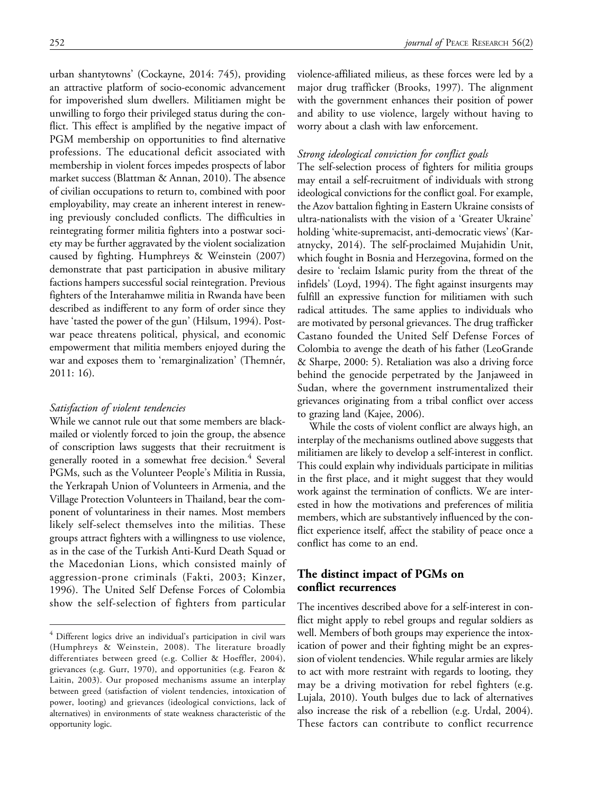urban shantytowns' (Cockayne, 2014: 745), providing an attractive platform of socio-economic advancement for impoverished slum dwellers. Militiamen might be unwilling to forgo their privileged status during the conflict. This effect is amplified by the negative impact of PGM membership on opportunities to find alternative professions. The educational deficit associated with membership in violent forces impedes prospects of labor market success (Blattman & Annan, 2010). The absence of civilian occupations to return to, combined with poor employability, may create an inherent interest in renewing previously concluded conflicts. The difficulties in reintegrating former militia fighters into a postwar society may be further aggravated by the violent socialization caused by fighting. Humphreys & Weinstein (2007) demonstrate that past participation in abusive military factions hampers successful social reintegration. Previous fighters of the Interahamwe militia in Rwanda have been described as indifferent to any form of order since they have 'tasted the power of the gun' (Hilsum, 1994). Postwar peace threatens political, physical, and economic empowerment that militia members enjoyed during the war and exposes them to 'remarginalization' (Themnér, 2011: 16).

### Satisfaction of violent tendencies

While we cannot rule out that some members are blackmailed or violently forced to join the group, the absence of conscription laws suggests that their recruitment is generally rooted in a somewhat free decision.<sup>4</sup> Several PGMs, such as the Volunteer People's Militia in Russia, the Yerkrapah Union of Volunteers in Armenia, and the Village Protection Volunteers in Thailand, bear the component of voluntariness in their names. Most members likely self-select themselves into the militias. These groups attract fighters with a willingness to use violence, as in the case of the Turkish Anti-Kurd Death Squad or the Macedonian Lions, which consisted mainly of aggression-prone criminals (Fakti, 2003; Kinzer, 1996). The United Self Defense Forces of Colombia show the self-selection of fighters from particular

violence-affiliated milieus, as these forces were led by a major drug trafficker (Brooks, 1997). The alignment with the government enhances their position of power and ability to use violence, largely without having to worry about a clash with law enforcement.

### Strong ideological conviction for conflict goals

The self-selection process of fighters for militia groups may entail a self-recruitment of individuals with strong ideological convictions for the conflict goal. For example, the Azov battalion fighting in Eastern Ukraine consists of ultra-nationalists with the vision of a 'Greater Ukraine' holding 'white-supremacist, anti-democratic views' (Karatnycky, 2014). The self-proclaimed Mujahidin Unit, which fought in Bosnia and Herzegovina, formed on the desire to 'reclaim Islamic purity from the threat of the infidels' (Loyd, 1994). The fight against insurgents may fulfill an expressive function for militiamen with such radical attitudes. The same applies to individuals who are motivated by personal grievances. The drug trafficker Castano founded the United Self Defense Forces of Colombia to avenge the death of his father (LeoGrande & Sharpe, 2000: 5). Retaliation was also a driving force behind the genocide perpetrated by the Janjaweed in Sudan, where the government instrumentalized their grievances originating from a tribal conflict over access to grazing land (Kajee, 2006).

While the costs of violent conflict are always high, an interplay of the mechanisms outlined above suggests that militiamen are likely to develop a self-interest in conflict. This could explain why individuals participate in militias in the first place, and it might suggest that they would work against the termination of conflicts. We are interested in how the motivations and preferences of militia members, which are substantively influenced by the conflict experience itself, affect the stability of peace once a conflict has come to an end.

# The distinct impact of PGMs on conflict recurrences

The incentives described above for a self-interest in conflict might apply to rebel groups and regular soldiers as well. Members of both groups may experience the intoxication of power and their fighting might be an expression of violent tendencies. While regular armies are likely to act with more restraint with regards to looting, they may be a driving motivation for rebel fighters (e.g. Lujala, 2010). Youth bulges due to lack of alternatives also increase the risk of a rebellion (e.g. Urdal, 2004). These factors can contribute to conflict recurrence

<sup>&</sup>lt;sup>4</sup> Different logics drive an individual's participation in civil wars (Humphreys & Weinstein, 2008). The literature broadly differentiates between greed (e.g. Collier & Hoeffler, 2004), grievances (e.g. Gurr, 1970), and opportunities (e.g. Fearon & Laitin, 2003). Our proposed mechanisms assume an interplay between greed (satisfaction of violent tendencies, intoxication of power, looting) and grievances (ideological convictions, lack of alternatives) in environments of state weakness characteristic of the opportunity logic.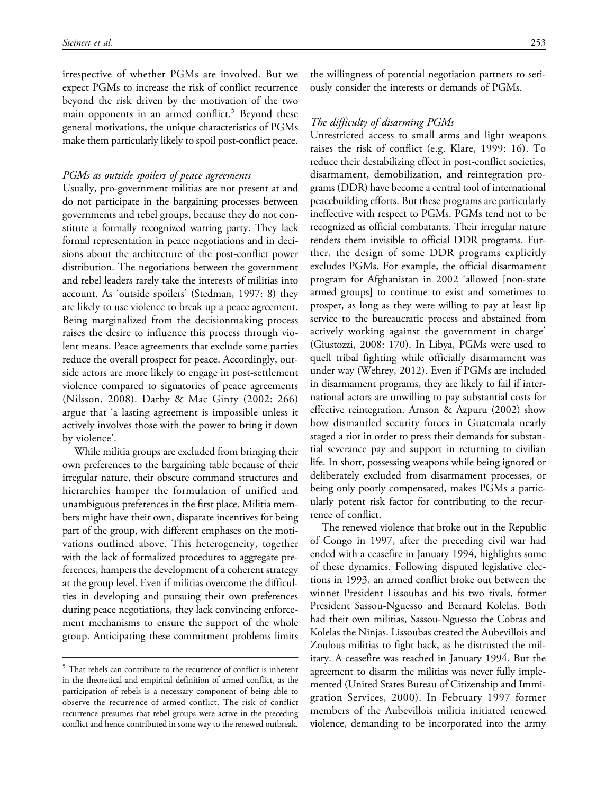irrespective of whether PGMs are involved. But we expect PGMs to increase the risk of conflict recurrence beyond the risk driven by the motivation of the two main opponents in an armed conflict. $5$  Beyond these general motivations, the unique characteristics of PGMs make them particularly likely to spoil post-conflict peace.

#### PGMs as outside spoilers of peace agreements

Usually, pro-government militias are not present at and do not participate in the bargaining processes between governments and rebel groups, because they do not constitute a formally recognized warring party. They lack formal representation in peace negotiations and in decisions about the architecture of the post-conflict power distribution. The negotiations between the government and rebel leaders rarely take the interests of militias into account. As 'outside spoilers' (Stedman, 1997: 8) they are likely to use violence to break up a peace agreement. Being marginalized from the decisionmaking process raises the desire to influence this process through violent means. Peace agreements that exclude some parties reduce the overall prospect for peace. Accordingly, outside actors are more likely to engage in post-settlement violence compared to signatories of peace agreements (Nilsson, 2008). Darby & Mac Ginty (2002: 266) argue that 'a lasting agreement is impossible unless it actively involves those with the power to bring it down by violence'.

While militia groups are excluded from bringing their own preferences to the bargaining table because of their irregular nature, their obscure command structures and hierarchies hamper the formulation of unified and unambiguous preferences in the first place. Militia members might have their own, disparate incentives for being part of the group, with different emphases on the motivations outlined above. This heterogeneity, together with the lack of formalized procedures to aggregate preferences, hampers the development of a coherent strategy at the group level. Even if militias overcome the difficulties in developing and pursuing their own preferences during peace negotiations, they lack convincing enforcement mechanisms to ensure the support of the whole group. Anticipating these commitment problems limits

the willingness of potential negotiation partners to seriously consider the interests or demands of PGMs.

### The difficulty of disarming PGMs

Unrestricted access to small arms and light weapons raises the risk of conflict (e.g. Klare, 1999: 16). To reduce their destabilizing effect in post-conflict societies, disarmament, demobilization, and reintegration programs (DDR) have become a central tool of international peacebuilding efforts. But these programs are particularly ineffective with respect to PGMs. PGMs tend not to be recognized as official combatants. Their irregular nature renders them invisible to official DDR programs. Further, the design of some DDR programs explicitly excludes PGMs. For example, the official disarmament program for Afghanistan in 2002 'allowed [non-state armed groups] to continue to exist and sometimes to prosper, as long as they were willing to pay at least lip service to the bureaucratic process and abstained from actively working against the government in charge' (Giustozzi, 2008: 170). In Libya, PGMs were used to quell tribal fighting while officially disarmament was under way (Wehrey, 2012). Even if PGMs are included in disarmament programs, they are likely to fail if international actors are unwilling to pay substantial costs for effective reintegration. Arnson & Azpuru (2002) show how dismantled security forces in Guatemala nearly staged a riot in order to press their demands for substantial severance pay and support in returning to civilian life. In short, possessing weapons while being ignored or deliberately excluded from disarmament processes, or being only poorly compensated, makes PGMs a particularly potent risk factor for contributing to the recurrence of conflict.

The renewed violence that broke out in the Republic of Congo in 1997, after the preceding civil war had ended with a ceasefire in January 1994, highlights some of these dynamics. Following disputed legislative elections in 1993, an armed conflict broke out between the winner President Lissoubas and his two rivals, former President Sassou-Nguesso and Bernard Kolelas. Both had their own militias, Sassou-Nguesso the Cobras and Kolelas the Ninjas. Lissoubas created the Aubevillois and Zoulous militias to fight back, as he distrusted the military. A ceasefire was reached in January 1994. But the agreement to disarm the militias was never fully implemented (United States Bureau of Citizenship and Immigration Services, 2000). In February 1997 former members of the Aubevillois militia initiated renewed violence, demanding to be incorporated into the army

<sup>&</sup>lt;sup>5</sup> That rebels can contribute to the recurrence of conflict is inherent in the theoretical and empirical definition of armed conflict, as the participation of rebels is a necessary component of being able to observe the recurrence of armed conflict. The risk of conflict recurrence presumes that rebel groups were active in the preceding conflict and hence contributed in some way to the renewed outbreak.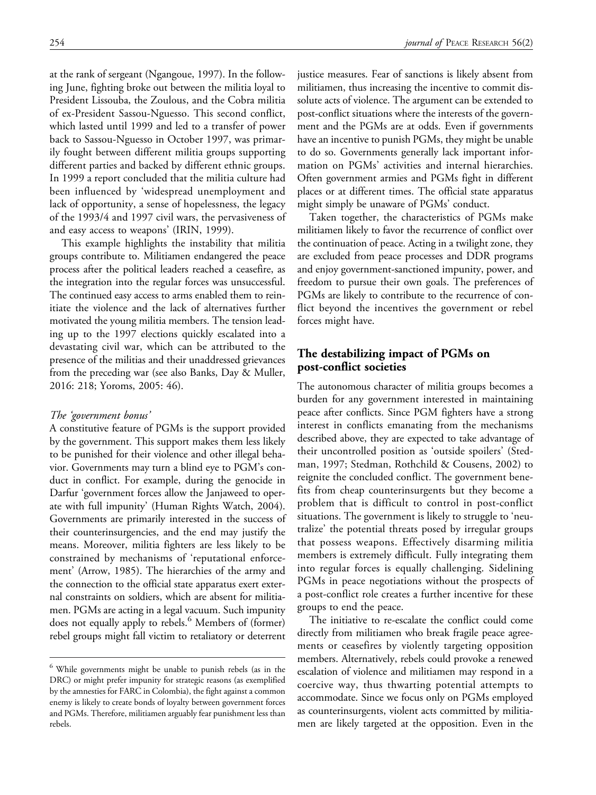at the rank of sergeant (Ngangoue, 1997). In the following June, fighting broke out between the militia loyal to President Lissouba, the Zoulous, and the Cobra militia of ex-President Sassou-Nguesso. This second conflict, which lasted until 1999 and led to a transfer of power back to Sassou-Nguesso in October 1997, was primarily fought between different militia groups supporting different parties and backed by different ethnic groups. In 1999 a report concluded that the militia culture had been influenced by 'widespread unemployment and lack of opportunity, a sense of hopelessness, the legacy of the 1993/4 and 1997 civil wars, the pervasiveness of and easy access to weapons' (IRIN, 1999).

This example highlights the instability that militia groups contribute to. Militiamen endangered the peace process after the political leaders reached a ceasefire, as the integration into the regular forces was unsuccessful. The continued easy access to arms enabled them to reinitiate the violence and the lack of alternatives further motivated the young militia members. The tension leading up to the 1997 elections quickly escalated into a devastating civil war, which can be attributed to the presence of the militias and their unaddressed grievances from the preceding war (see also Banks, Day & Muller, 2016: 218; Yoroms, 2005: 46).

#### The 'government bonus'

A constitutive feature of PGMs is the support provided by the government. This support makes them less likely to be punished for their violence and other illegal behavior. Governments may turn a blind eye to PGM's conduct in conflict. For example, during the genocide in Darfur 'government forces allow the Janjaweed to operate with full impunity' (Human Rights Watch, 2004). Governments are primarily interested in the success of their counterinsurgencies, and the end may justify the means. Moreover, militia fighters are less likely to be constrained by mechanisms of 'reputational enforcement' (Arrow, 1985). The hierarchies of the army and the connection to the official state apparatus exert external constraints on soldiers, which are absent for militiamen. PGMs are acting in a legal vacuum. Such impunity does not equally apply to rebels.<sup>6</sup> Members of (former) rebel groups might fall victim to retaliatory or deterrent justice measures. Fear of sanctions is likely absent from militiamen, thus increasing the incentive to commit dissolute acts of violence. The argument can be extended to post-conflict situations where the interests of the government and the PGMs are at odds. Even if governments have an incentive to punish PGMs, they might be unable to do so. Governments generally lack important information on PGMs' activities and internal hierarchies. Often government armies and PGMs fight in different places or at different times. The official state apparatus might simply be unaware of PGMs' conduct.

Taken together, the characteristics of PGMs make militiamen likely to favor the recurrence of conflict over the continuation of peace. Acting in a twilight zone, they are excluded from peace processes and DDR programs and enjoy government-sanctioned impunity, power, and freedom to pursue their own goals. The preferences of PGMs are likely to contribute to the recurrence of conflict beyond the incentives the government or rebel forces might have.

# The destabilizing impact of PGMs on post-conflict societies

The autonomous character of militia groups becomes a burden for any government interested in maintaining peace after conflicts. Since PGM fighters have a strong interest in conflicts emanating from the mechanisms described above, they are expected to take advantage of their uncontrolled position as 'outside spoilers' (Stedman, 1997; Stedman, Rothchild & Cousens, 2002) to reignite the concluded conflict. The government benefits from cheap counterinsurgents but they become a problem that is difficult to control in post-conflict situations. The government is likely to struggle to 'neutralize' the potential threats posed by irregular groups that possess weapons. Effectively disarming militia members is extremely difficult. Fully integrating them into regular forces is equally challenging. Sidelining PGMs in peace negotiations without the prospects of a post-conflict role creates a further incentive for these groups to end the peace.

The initiative to re-escalate the conflict could come directly from militiamen who break fragile peace agreements or ceasefires by violently targeting opposition members. Alternatively, rebels could provoke a renewed escalation of violence and militiamen may respond in a coercive way, thus thwarting potential attempts to accommodate. Since we focus only on PGMs employed as counterinsurgents, violent acts committed by militiamen are likely targeted at the opposition. Even in the

<sup>6</sup> While governments might be unable to punish rebels (as in the DRC) or might prefer impunity for strategic reasons (as exemplified by the amnesties for FARC in Colombia), the fight against a common enemy is likely to create bonds of loyalty between government forces and PGMs. Therefore, militiamen arguably fear punishment less than rebels.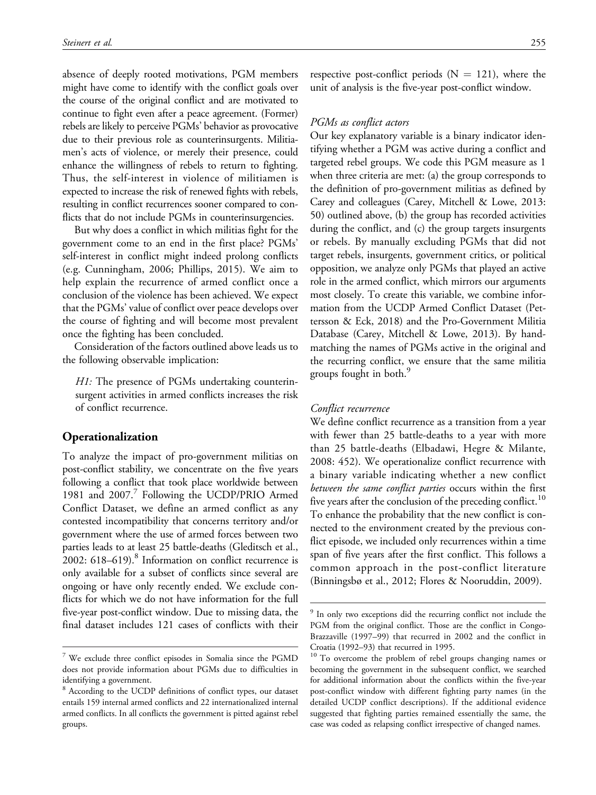absence of deeply rooted motivations, PGM members might have come to identify with the conflict goals over the course of the original conflict and are motivated to continue to fight even after a peace agreement. (Former) rebels are likely to perceive PGMs' behavior as provocative due to their previous role as counterinsurgents. Militiamen's acts of violence, or merely their presence, could enhance the willingness of rebels to return to fighting. Thus, the self-interest in violence of militiamen is expected to increase the risk of renewed fights with rebels, resulting in conflict recurrences sooner compared to conflicts that do not include PGMs in counterinsurgencies.

But why does a conflict in which militias fight for the government come to an end in the first place? PGMs' self-interest in conflict might indeed prolong conflicts (e.g. Cunningham, 2006; Phillips, 2015). We aim to help explain the recurrence of armed conflict once a conclusion of the violence has been achieved. We expect that the PGMs' value of conflict over peace develops over the course of fighting and will become most prevalent once the fighting has been concluded.

Consideration of the factors outlined above leads us to the following observable implication:

H1: The presence of PGMs undertaking counterinsurgent activities in armed conflicts increases the risk of conflict recurrence.

### Operationalization

To analyze the impact of pro-government militias on post-conflict stability, we concentrate on the five years following a conflict that took place worldwide between 1981 and 2007.<sup>7</sup> Following the UCDP/PRIO Armed Conflict Dataset, we define an armed conflict as any contested incompatibility that concerns territory and/or government where the use of armed forces between two parties leads to at least 25 battle-deaths (Gleditsch et al., 2002:  $618-619$ .<sup>8</sup> Information on conflict recurrence is only available for a subset of conflicts since several are ongoing or have only recently ended. We exclude conflicts for which we do not have information for the full five-year post-conflict window. Due to missing data, the final dataset includes 121 cases of conflicts with their respective post-conflict periods ( $N = 121$ ), where the unit of analysis is the five-year post-conflict window.

### PGMs as conflict actors

Our key explanatory variable is a binary indicator identifying whether a PGM was active during a conflict and targeted rebel groups. We code this PGM measure as 1 when three criteria are met: (a) the group corresponds to the definition of pro-government militias as defined by Carey and colleagues (Carey, Mitchell & Lowe, 2013: 50) outlined above, (b) the group has recorded activities during the conflict, and (c) the group targets insurgents or rebels. By manually excluding PGMs that did not target rebels, insurgents, government critics, or political opposition, we analyze only PGMs that played an active role in the armed conflict, which mirrors our arguments most closely. To create this variable, we combine information from the UCDP Armed Conflict Dataset (Pettersson & Eck, 2018) and the Pro-Government Militia Database (Carey, Mitchell & Lowe, 2013). By handmatching the names of PGMs active in the original and the recurring conflict, we ensure that the same militia groups fought in both.<sup>9</sup>

#### Conflict recurrence

We define conflict recurrence as a transition from a year with fewer than 25 battle-deaths to a year with more than 25 battle-deaths (Elbadawi, Hegre & Milante, 2008: 452). We operationalize conflict recurrence with a binary variable indicating whether a new conflict between the same conflict parties occurs within the first five years after the conclusion of the preceding conflict.<sup>10</sup> To enhance the probability that the new conflict is connected to the environment created by the previous conflict episode, we included only recurrences within a time span of five years after the first conflict. This follows a common approach in the post-conflict literature (Binningsbø et al., 2012; Flores & Nooruddin, 2009).

<sup>7</sup> We exclude three conflict episodes in Somalia since the PGMD does not provide information about PGMs due to difficulties in identifying a government.

<sup>8</sup> According to the UCDP definitions of conflict types, our dataset entails 159 internal armed conflicts and 22 internationalized internal armed conflicts. In all conflicts the government is pitted against rebel groups.

<sup>&</sup>lt;sup>9</sup> In only two exceptions did the recurring conflict not include the PGM from the original conflict. Those are the conflict in Congo-Brazzaville (1997–99) that recurred in 2002 and the conflict in Croatia (1992–93) that recurred in 1995.

<sup>&</sup>lt;sup>10</sup> To overcome the problem of rebel groups changing names or becoming the government in the subsequent conflict, we searched for additional information about the conflicts within the five-year post-conflict window with different fighting party names (in the detailed UCDP conflict descriptions). If the additional evidence suggested that fighting parties remained essentially the same, the case was coded as relapsing conflict irrespective of changed names.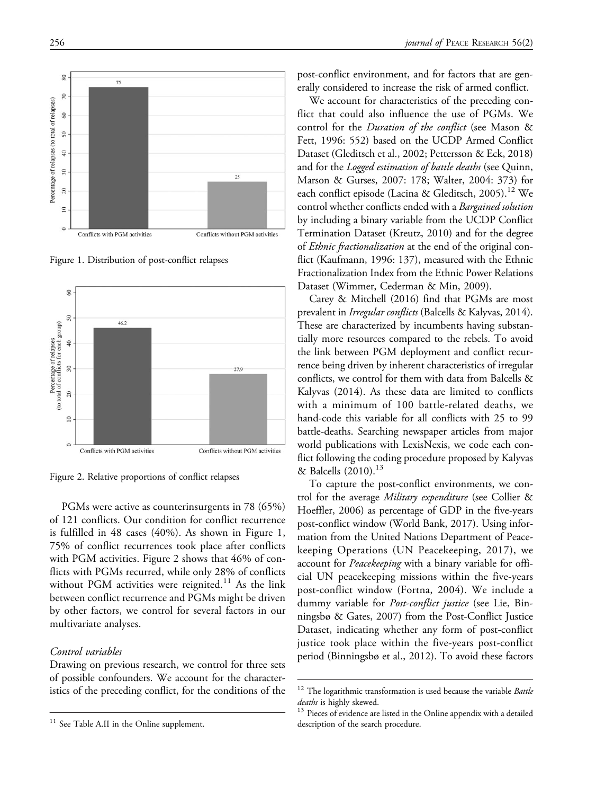Figure 1. Distribution of post-conflict relapses



Figure 2. Relative proportions of conflict relapses

PGMs were active as counterinsurgents in 78 (65%) of 121 conflicts. Our condition for conflict recurrence is fulfilled in 48 cases (40%). As shown in Figure 1, 75% of conflict recurrences took place after conflicts with PGM activities. Figure 2 shows that 46% of conflicts with PGMs recurred, while only 28% of conflicts without PGM activities were reignited.<sup>11</sup> As the link between conflict recurrence and PGMs might be driven by other factors, we control for several factors in our multivariate analyses.

### Control variables

Drawing on previous research, we control for three sets of possible confounders. We account for the characteristics of the preceding conflict, for the conditions of the

post-conflict environment, and for factors that are generally considered to increase the risk of armed conflict.

We account for characteristics of the preceding conflict that could also influence the use of PGMs. We control for the *Duration of the conflict* (see Mason & Fett, 1996: 552) based on the UCDP Armed Conflict Dataset (Gleditsch et al., 2002; Pettersson & Eck, 2018) and for the *Logged estimation of battle deaths* (see Quinn, Marson & Gurses, 2007: 178; Walter, 2004: 373) for each conflict episode (Lacina & Gleditsch, 2005).<sup>12</sup> We control whether conflicts ended with a Bargained solution by including a binary variable from the UCDP Conflict Termination Dataset (Kreutz, 2010) and for the degree of Ethnic fractionalization at the end of the original conflict (Kaufmann, 1996: 137), measured with the Ethnic Fractionalization Index from the Ethnic Power Relations Dataset (Wimmer, Cederman & Min, 2009).

Carey & Mitchell (2016) find that PGMs are most prevalent in Irregular conflicts (Balcells & Kalyvas, 2014). These are characterized by incumbents having substantially more resources compared to the rebels. To avoid the link between PGM deployment and conflict recurrence being driven by inherent characteristics of irregular conflicts, we control for them with data from Balcells & Kalyvas (2014). As these data are limited to conflicts with a minimum of 100 battle-related deaths, we hand-code this variable for all conflicts with 25 to 99 battle-deaths. Searching newspaper articles from major world publications with LexisNexis, we code each conflict following the coding procedure proposed by Kalyvas & Balcells  $(2010).^{13}$ 

To capture the post-conflict environments, we control for the average Military expenditure (see Collier & Hoeffler, 2006) as percentage of GDP in the five-years post-conflict window (World Bank, 2017). Using information from the United Nations Department of Peacekeeping Operations (UN Peacekeeping, 2017), we account for *Peacekeeping* with a binary variable for official UN peacekeeping missions within the five-years post-conflict window (Fortna, 2004). We include a dummy variable for Post-conflict justice (see Lie, Binningsbø & Gates, 2007) from the Post-Conflict Justice Dataset, indicating whether any form of post-conflict justice took place within the five-years post-conflict period (Binningsbø et al., 2012). To avoid these factors



<sup>&</sup>lt;sup>11</sup> See Table A.II in the Online supplement.

 $12$  The logarithmic transformation is used because the variable *Battle* deaths is highly skewed.<br><sup>13</sup> Pieces of evidence are listed in the Online appendix with a detailed

description of the search procedure.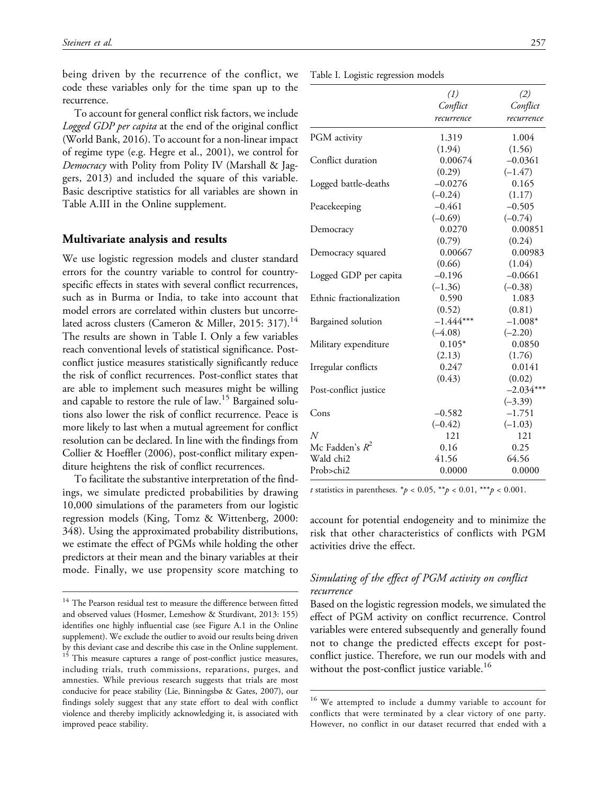being driven by the recurrence of the conflict, we code these variables only for the time span up to the recurrence.

To account for general conflict risk factors, we include Logged GDP per capita at the end of the original conflict (World Bank, 2016). To account for a non-linear impact of regime type (e.g. Hegre et al., 2001), we control for Democracy with Polity from Polity IV (Marshall & Jaggers, 2013) and included the square of this variable. Basic descriptive statistics for all variables are shown in Table A.III in the Online supplement.

### Multivariate analysis and results

We use logistic regression models and cluster standard errors for the country variable to control for countryspecific effects in states with several conflict recurrences, such as in Burma or India, to take into account that model errors are correlated within clusters but uncorrelated across clusters (Cameron & Miller, 2015: 317).<sup>14</sup> The results are shown in Table I. Only a few variables reach conventional levels of statistical significance. Postconflict justice measures statistically significantly reduce the risk of conflict recurrences. Post-conflict states that are able to implement such measures might be willing and capable to restore the rule of law.<sup>15</sup> Bargained solutions also lower the risk of conflict recurrence. Peace is more likely to last when a mutual agreement for conflict resolution can be declared. In line with the findings from Collier & Hoeffler (2006), post-conflict military expenditure heightens the risk of conflict recurrences.

To facilitate the substantive interpretation of the findings, we simulate predicted probabilities by drawing 10,000 simulations of the parameters from our logistic regression models (King, Tomz & Wittenberg, 2000: 348). Using the approximated probability distributions, we estimate the effect of PGMs while holding the other predictors at their mean and the binary variables at their mode. Finally, we use propensity score matching to

|  |  |  |  | Table I. Logistic regression models |  |
|--|--|--|--|-------------------------------------|--|
|--|--|--|--|-------------------------------------|--|

|                          | (1)         | (2)         |
|--------------------------|-------------|-------------|
|                          | Conflict    | Conflict    |
|                          | recurrence  | recurrence  |
| PGM activity             | 1.319       | 1.004       |
|                          | (1.94)      | (1.56)      |
| Conflict duration        | 0.00674     | $-0.0361$   |
|                          | (0.29)      | $(-1.47)$   |
| Logged battle-deaths     | $-0.0276$   | 0.165       |
|                          | $(-0.24)$   | (1.17)      |
| Peacekeeping             | $-0.461$    | $-0.505$    |
|                          | $(-0.69)$   | $(-0.74)$   |
| Democracy                | 0.0270      | 0.00851     |
|                          | (0.79)      | (0.24)      |
| Democracy squared        | 0.00667     | 0.00983     |
|                          | (0.66)      | (1.04)      |
| Logged GDP per capita    | $-0.196$    | $-0.0661$   |
|                          | $(-1.36)$   | $(-0.38)$   |
| Ethnic fractionalization | 0.590       | 1.083       |
|                          | (0.52)      | (0.81)      |
| Bargained solution       | $-1.444***$ | $-1.008*$   |
|                          | $(-4.08)$   | $(-2.20)$   |
| Military expenditure     | $0.105*$    | 0.0850      |
|                          | (2.13)      | (1.76)      |
| Irregular conflicts      | 0.247       | 0.0141      |
|                          | (0.43)      | (0.02)      |
| Post-conflict justice    |             | $-2.034***$ |
|                          |             | $(-3.39)$   |
| Cons                     | $-0.582$    | $-1.751$    |
|                          | $(-0.42)$   | $(-1.03)$   |
| $\overline{N}$           | 121         | 121         |
| Mc Fadden's $R^2$        | 0.16        | 0.25        |
| Wald chi2                | 41.56       | 64.56       |
| Prob>chi2                | 0.0000      | 0.0000      |

*t* statistics in parentheses.  $^*p < 0.05$ ,  $^{**}p < 0.01$ ,  $^{***}p < 0.001$ .

account for potential endogeneity and to minimize the risk that other characteristics of conflicts with PGM activities drive the effect.

# Simulating of the effect of PGM activity on conflict recurrence

Based on the logistic regression models, we simulated the effect of PGM activity on conflict recurrence. Control variables were entered subsequently and generally found not to change the predicted effects except for postconflict justice. Therefore, we run our models with and without the post-conflict justice variable.<sup>16</sup>

 $^{14}$  The Pearson residual test to measure the difference between fitted and observed values (Hosmer, Lemeshow & Sturdivant, 2013: 155) identifies one highly influential case (see Figure A.1 in the Online supplement). We exclude the outlier to avoid our results being driven by this deviant case and describe this case in the Online supplement. <sup>15</sup> This measure captures a range of post-conflict justice measures, including trials, truth commissions, reparations, purges, and amnesties. While previous research suggests that trials are most conducive for peace stability (Lie, Binningsbø & Gates, 2007), our findings solely suggest that any state effort to deal with conflict violence and thereby implicitly acknowledging it, is associated with improved peace stability.

<sup>16</sup> We attempted to include a dummy variable to account for conflicts that were terminated by a clear victory of one party. However, no conflict in our dataset recurred that ended with a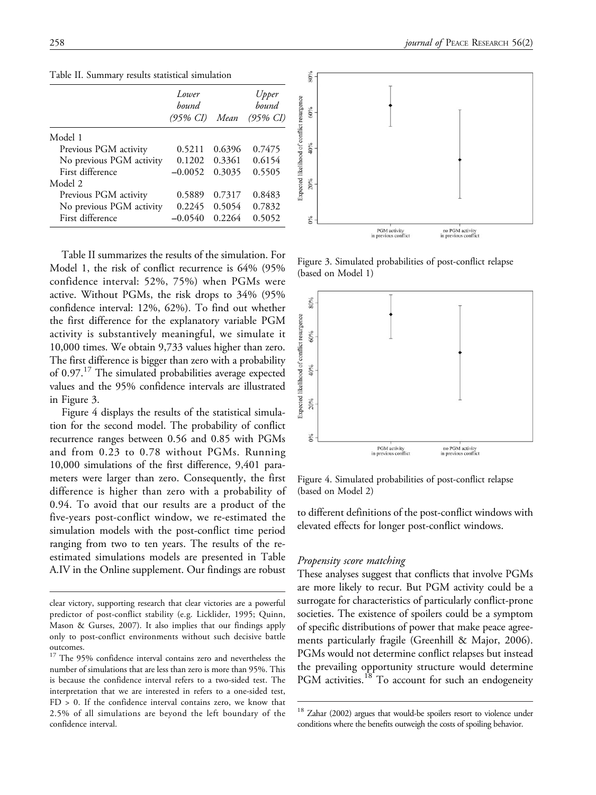|                          | Lower<br>bound<br>(95% CI) | Mean   | Upper<br>bound<br>$(95\% \; CI)$ |
|--------------------------|----------------------------|--------|----------------------------------|
| Model 1                  |                            |        |                                  |
| Previous PGM activity    | 0.5211                     | 0.6396 | 0.7475                           |
| No previous PGM activity | 0.1202                     | 0.3361 | 0.6154                           |
| First difference         | $-0.0052$                  | 0.3035 | 0.5505                           |
| Model 2                  |                            |        |                                  |
| Previous PGM activity    | 0.5889                     | 0.7317 | 0.8483                           |
| No previous PGM activity | 0.2245                     | 0.5054 | 0.7832                           |
| First difference         | $-0.0540$                  | 0.2264 | 0.5052                           |

Table II. Summary results statistical simulation

Table II summarizes the results of the simulation. For Model 1, the risk of conflict recurrence is 64% (95% confidence interval: 52%, 75%) when PGMs were active. Without PGMs, the risk drops to 34% (95% confidence interval: 12%, 62%). To find out whether the first difference for the explanatory variable PGM activity is substantively meaningful, we simulate it 10,000 times. We obtain 9,733 values higher than zero. The first difference is bigger than zero with a probability of 0.97.17 The simulated probabilities average expected values and the 95% confidence intervals are illustrated in Figure 3.

Figure 4 displays the results of the statistical simulation for the second model. The probability of conflict recurrence ranges between 0.56 and 0.85 with PGMs and from 0.23 to 0.78 without PGMs. Running 10,000 simulations of the first difference, 9,401 parameters were larger than zero. Consequently, the first difference is higher than zero with a probability of 0.94. To avoid that our results are a product of the five-years post-conflict window, we re-estimated the simulation models with the post-conflict time period ranging from two to ten years. The results of the reestimated simulations models are presented in Table A.IV in the Online supplement. Our findings are robust





Figure 3. Simulated probabilities of post-conflict relapse (based on Model 1)



Figure 4. Simulated probabilities of post-conflict relapse (based on Model 2)

to different definitions of the post-conflict windows with elevated effects for longer post-conflict windows.

#### Propensity score matching

These analyses suggest that conflicts that involve PGMs are more likely to recur. But PGM activity could be a surrogate for characteristics of particularly conflict-prone societies. The existence of spoilers could be a symptom of specific distributions of power that make peace agreements particularly fragile (Greenhill & Major, 2006). PGMs would not determine conflict relapses but instead the prevailing opportunity structure would determine PGM activities.<sup>18</sup> To account for such an endogeneity

clear victory, supporting research that clear victories are a powerful predictor of post-conflict stability (e.g. Licklider, 1995; Quinn, Mason & Gurses, 2007). It also implies that our findings apply only to post-conflict environments without such decisive battle outcomes.

<sup>&</sup>lt;sup>17</sup> The 95% confidence interval contains zero and nevertheless the number of simulations that are less than zero is more than 95%. This is because the confidence interval refers to a two-sided test. The interpretation that we are interested in refers to a one-sided test, FD > 0. If the confidence interval contains zero, we know that 2.5% of all simulations are beyond the left boundary of the confidence interval.

<sup>&</sup>lt;sup>18</sup> Zahar (2002) argues that would-be spoilers resort to violence under conditions where the benefits outweigh the costs of spoiling behavior.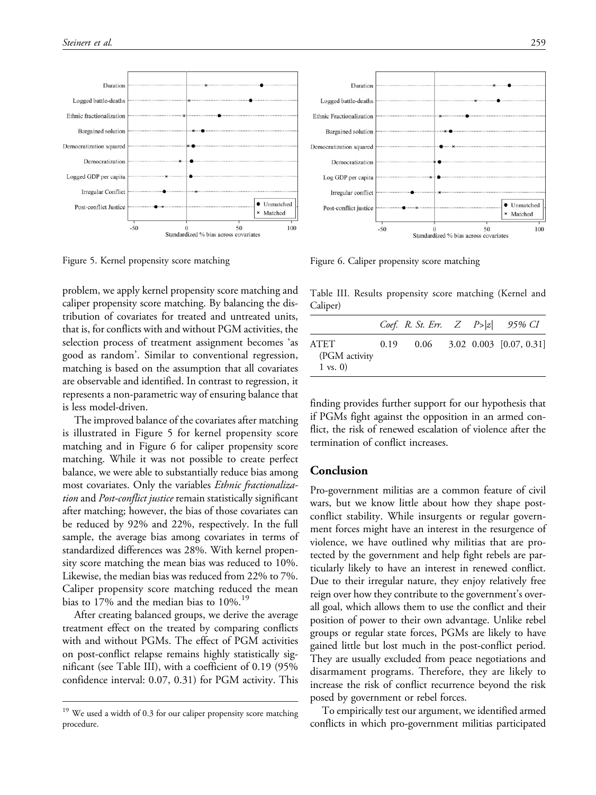

problem, we apply kernel propensity score matching and caliper propensity score matching. By balancing the distribution of covariates for treated and untreated units, that is, for conflicts with and without PGM activities, the selection process of treatment assignment becomes 'as good as random'. Similar to conventional regression, matching is based on the assumption that all covariates are observable and identified. In contrast to regression, it represents a non-parametric way of ensuring balance that is less model-driven.

The improved balance of the covariates after matching is illustrated in Figure 5 for kernel propensity score matching and in Figure 6 for caliper propensity score matching. While it was not possible to create perfect balance, we were able to substantially reduce bias among most covariates. Only the variables Ethnic fractionalization and *Post-conflict justice* remain statistically significant after matching; however, the bias of those covariates can be reduced by 92% and 22%, respectively. In the full sample, the average bias among covariates in terms of standardized differences was 28%. With kernel propensity score matching the mean bias was reduced to 10%. Likewise, the median bias was reduced from 22% to 7%. Caliper propensity score matching reduced the mean bias to 17% and the median bias to 10%.<sup>19</sup>

After creating balanced groups, we derive the average treatment effect on the treated by comparing conflicts with and without PGMs. The effect of PGM activities on post-conflict relapse remains highly statistically significant (see Table III), with a coefficient of 0.19 (95% confidence interval: 0.07, 0.31) for PGM activity. This

Figure 5. Kernel propensity score matching Figure 6. Caliper propensity score matching

 $-50$ 

Post-conflict justice

Table III. Results propensity score matching (Kernel and Caliper)

 $\Omega$ 

Standardized % bias across covariates

|                                              |      | <i>Coef.</i> R. St. Err. $Z$ $P >  z $ 95% CI |  |                                |
|----------------------------------------------|------|-----------------------------------------------|--|--------------------------------|
| ATET<br>(PGM activity<br>$1 \text{ vs. } 0)$ | 0.19 |                                               |  | $0.06$ 3.02 0.003 [0.07, 0.31] |

finding provides further support for our hypothesis that if PGMs fight against the opposition in an armed conflict, the risk of renewed escalation of violence after the termination of conflict increases.

### Conclusion

Pro-government militias are a common feature of civil wars, but we know little about how they shape postconflict stability. While insurgents or regular government forces might have an interest in the resurgence of violence, we have outlined why militias that are protected by the government and help fight rebels are particularly likely to have an interest in renewed conflict. Due to their irregular nature, they enjoy relatively free reign over how they contribute to the government's overall goal, which allows them to use the conflict and their position of power to their own advantage. Unlike rebel groups or regular state forces, PGMs are likely to have gained little but lost much in the post-conflict period. They are usually excluded from peace negotiations and disarmament programs. Therefore, they are likely to increase the risk of conflict recurrence beyond the risk posed by government or rebel forces.

To empirically test our argument, we identified armed conflicts in which pro-government militias participated



× Matched

50

100

<sup>&</sup>lt;sup>19</sup> We used a width of 0.3 for our caliper propensity score matching procedure.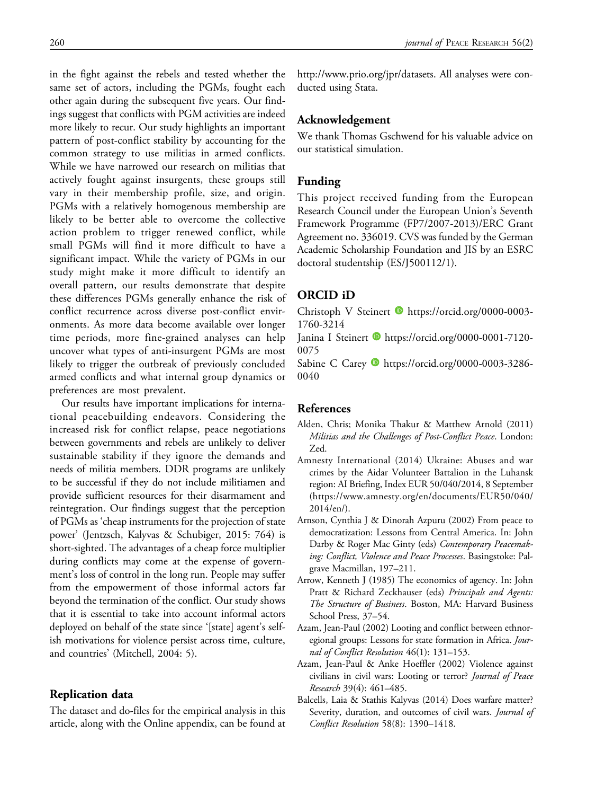in the fight against the rebels and tested whether the same set of actors, including the PGMs, fought each other again during the subsequent five years. Our findings suggest that conflicts with PGM activities are indeed more likely to recur. Our study highlights an important pattern of post-conflict stability by accounting for the common strategy to use militias in armed conflicts. While we have narrowed our research on militias that actively fought against insurgents, these groups still vary in their membership profile, size, and origin. PGMs with a relatively homogenous membership are likely to be better able to overcome the collective action problem to trigger renewed conflict, while small PGMs will find it more difficult to have a significant impact. While the variety of PGMs in our study might make it more difficult to identify an overall pattern, our results demonstrate that despite these differences PGMs generally enhance the risk of conflict recurrence across diverse post-conflict environments. As more data become available over longer time periods, more fine-grained analyses can help uncover what types of anti-insurgent PGMs are most likely to trigger the outbreak of previously concluded armed conflicts and what internal group dynamics or preferences are most prevalent.

Our results have important implications for international peacebuilding endeavors. Considering the increased risk for conflict relapse, peace negotiations between governments and rebels are unlikely to deliver sustainable stability if they ignore the demands and needs of militia members. DDR programs are unlikely to be successful if they do not include militiamen and provide sufficient resources for their disarmament and reintegration. Our findings suggest that the perception of PGMs as 'cheap instruments for the projection of state power' (Jentzsch, Kalyvas & Schubiger, 2015: 764) is short-sighted. The advantages of a cheap force multiplier during conflicts may come at the expense of government's loss of control in the long run. People may suffer from the empowerment of those informal actors far beyond the termination of the conflict. Our study shows that it is essential to take into account informal actors deployed on behalf of the state since '[state] agent's selfish motivations for violence persist across time, culture, and countries' (Mitchell, 2004: 5).

### Replication data

The dataset and do-files for the empirical analysis in this article, along with the Online appendix, can be found at <http://www.prio.org/jpr/datasets>. All analyses were conducted using Stata.

### Acknowledgement

We thank Thomas Gschwend for his valuable advice on our statistical simulation.

### Funding

This project received funding from the European Research Council under the European Union's Seventh Framework Programme (FP7/2007-2013)/ERC Grant Agreement no. 336019. CVS was funded by the German Academic Scholarship Foundation and JIS by an ESRC doctoral studentship (ES/J500112/1).

# ORCID iD

Christoph V Steinert **b** [https://orcid.org/0000-0003-](https://orcid.org/0000-0003-1760-3214) [1760-3214](https://orcid.org/0000-0003-1760-3214)

Janina I Steinert D[https://orcid.org/0000-0001-7120-](https://orcid.org/0000-0001-7120-0075) [0075](https://orcid.org/0000-0001-7120-0075)

Sabine C Carey **b** [https://orcid.org/0000-0003-3286-](https://orcid.org/0000-0003-3286-0040) [0040](https://orcid.org/0000-0003-3286-0040)

### References

- Alden, Chris; Monika Thakur & Matthew Arnold (2011) Militias and the Challenges of Post-Conflict Peace. London: Zed.
- Amnesty International (2014) Ukraine: Abuses and war crimes by the Aidar Volunteer Battalion in the Luhansk region: AI Briefing, Index EUR 50/040/2014, 8 September ([https://www.amnesty.org/en/documents/EUR50/040/](https://www.amnesty.org/en/documents/EUR50/040/2014/en/) [2014/en/\)](https://www.amnesty.org/en/documents/EUR50/040/2014/en/).
- Arnson, Cynthia J & Dinorah Azpuru (2002) From peace to democratization: Lessons from Central America. In: John Darby & Roger Mac Ginty (eds) Contemporary Peacemaking: Conflict, Violence and Peace Processes. Basingstoke: Palgrave Macmillan, 197–211.
- Arrow, Kenneth J (1985) The economics of agency. In: John Pratt & Richard Zeckhauser (eds) Principals and Agents: The Structure of Business. Boston, MA: Harvard Business School Press, 37–54.
- Azam, Jean-Paul (2002) Looting and conflict between ethnoregional groups: Lessons for state formation in Africa. Journal of Conflict Resolution 46(1): 131–153.
- Azam, Jean-Paul & Anke Hoeffler (2002) Violence against civilians in civil wars: Looting or terror? Journal of Peace Research 39(4): 461–485.
- Balcells, Laia & Stathis Kalyvas (2014) Does warfare matter? Severity, duration, and outcomes of civil wars. Journal of Conflict Resolution 58(8): 1390–1418.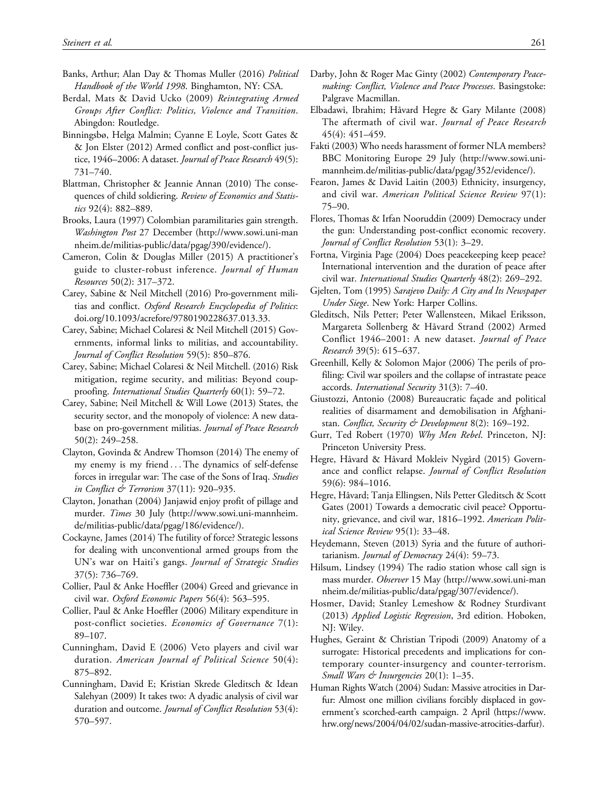- Banks, Arthur; Alan Day & Thomas Muller (2016) Political Handbook of the World 1998. Binghamton, NY: CSA.
- Berdal, Mats & David Ucko (2009) Reintegrating Armed Groups After Conflict: Politics, Violence and Transition. Abingdon: Routledge.
- Binningsbø, Helga Malmin; Cyanne E Loyle, Scott Gates & & Jon Elster (2012) Armed conflict and post-conflict justice, 1946-2006: A dataset. Journal of Peace Research 49(5): 731–740.
- Blattman, Christopher & Jeannie Annan (2010) The consequences of child soldiering. Review of Economics and Statistics 92(4): 882–889.
- Brooks, Laura (1997) Colombian paramilitaries gain strength. Washington Post 27 December ([http://www.sowi.uni-man](http://www.sowi.uni-mannheim.de/militias-public/data/pgag/390/evidence/) [nheim.de/militias-public/data/pgag/390/evidence/](http://www.sowi.uni-mannheim.de/militias-public/data/pgag/390/evidence/)).
- Cameron, Colin & Douglas Miller (2015) A practitioner's guide to cluster-robust inference. Journal of Human Resources 50(2): 317–372.
- Carey, Sabine & Neil Mitchell (2016) Pro-government militias and conflict. Oxford Research Encyclopedia of Politics: doi.org/10.1093/acrefore/9780190228637.013.33.
- Carey, Sabine; Michael Colaresi & Neil Mitchell (2015) Governments, informal links to militias, and accountability. Journal of Conflict Resolution 59(5): 850–876.
- Carey, Sabine; Michael Colaresi & Neil Mitchell. (2016) Risk mitigation, regime security, and militias: Beyond coupproofing. International Studies Quarterly 60(1): 59–72.
- Carey, Sabine; Neil Mitchell & Will Lowe (2013) States, the security sector, and the monopoly of violence: A new database on pro-government militias. Journal of Peace Research 50(2): 249–258.
- Clayton, Govinda & Andrew Thomson (2014) The enemy of my enemy is my friend ...The dynamics of self-defense forces in irregular war: The case of the Sons of Iraq. Studies in Conflict & Terrorism 37(11): 920-935.
- Clayton, Jonathan (2004) Janjawid enjoy profit of pillage and murder. Times 30 July [\(http://www.sowi.uni-mannheim.](http://www.sowi.uni-mannheim.de/militias-public/data/pgag/186/evidence/) [de/militias-public/data/pgag/186/evidence/\)](http://www.sowi.uni-mannheim.de/militias-public/data/pgag/186/evidence/).
- Cockayne, James (2014) The futility of force? Strategic lessons for dealing with unconventional armed groups from the UN's war on Haiti's gangs. Journal of Strategic Studies 37(5): 736–769.
- Collier, Paul & Anke Hoeffler (2004) Greed and grievance in civil war. Oxford Economic Papers 56(4): 563–595.
- Collier, Paul & Anke Hoeffler (2006) Military expenditure in post-conflict societies. Economics of Governance 7(1): 89–107.
- Cunningham, David E (2006) Veto players and civil war duration. American Journal of Political Science 50(4): 875–892.
- Cunningham, David E; Kristian Skrede Gleditsch & Idean Salehyan (2009) It takes two: A dyadic analysis of civil war duration and outcome. Journal of Conflict Resolution 53(4): 570–597.
- Darby, John & Roger Mac Ginty (2002) Contemporary Peacemaking: Conflict, Violence and Peace Processes. Basingstoke: Palgrave Macmillan.
- Elbadawi, Ibrahim; Håvard Hegre & Gary Milante (2008) The aftermath of civil war. Journal of Peace Research 45(4): 451–459.
- Fakti (2003) Who needs harassment of former NLA members? BBC Monitoring Europe 29 July ([http://www.sowi.uni](http://www.sowi.uni-mannheim.de/militias-public/data/pgag/352/evidence/)[mannheim.de/militias-public/data/pgag/352/evidence/\)](http://www.sowi.uni-mannheim.de/militias-public/data/pgag/352/evidence/).
- Fearon, James & David Laitin (2003) Ethnicity, insurgency, and civil war. American Political Science Review 97(1): 75–90.
- Flores, Thomas & Irfan Nooruddin (2009) Democracy under the gun: Understanding post-conflict economic recovery. Journal of Conflict Resolution 53(1): 3–29.
- Fortna, Virginia Page (2004) Does peacekeeping keep peace? International intervention and the duration of peace after civil war. International Studies Quarterly 48(2): 269–292.
- Gjelten, Tom (1995) Sarajevo Daily: A City and Its Newspaper Under Siege. New York: Harper Collins.
- Gleditsch, Nils Petter; Peter Wallensteen, Mikael Eriksson, Margareta Sollenberg & Håvard Strand (2002) Armed Conflict 1946–2001: A new dataset. Journal of Peace Research 39(5): 615–637.
- Greenhill, Kelly & Solomon Major (2006) The perils of profiling: Civil war spoilers and the collapse of intrastate peace accords. International Security 31(3): 7–40.
- Giustozzi, Antonio (2008) Bureaucratic façade and political realities of disarmament and demobilisation in Afghanistan. Conflict, Security & Development 8(2): 169–192.
- Gurr, Ted Robert (1970) Why Men Rebel. Princeton, NJ: Princeton University Press.
- Hegre, Håvard & Håvard Mokleiv Nygård (2015) Governance and conflict relapse. Journal of Conflict Resolution 59(6): 984–1016.
- Hegre, Håvard; Tanja Ellingsen, Nils Petter Gleditsch & Scott Gates (2001) Towards a democratic civil peace? Opportunity, grievance, and civil war, 1816–1992. American Political Science Review 95(1): 33–48.
- Heydemann, Steven (2013) Syria and the future of authoritarianism. Journal of Democracy 24(4): 59–73.
- Hilsum, Lindsey (1994) The radio station whose call sign is mass murder. Observer 15 May [\(http://www.sowi.uni-man](http://www.sowi.uni-mannheim.de/militias-public/data/pgag/307/evidence/) [nheim.de/militias-public/data/pgag/307/evidence/\)](http://www.sowi.uni-mannheim.de/militias-public/data/pgag/307/evidence/).
- Hosmer, David; Stanley Lemeshow & Rodney Sturdivant (2013) Applied Logistic Regression, 3rd edition. Hoboken, NJ: Wiley.
- Hughes, Geraint & Christian Tripodi (2009) Anatomy of a surrogate: Historical precedents and implications for contemporary counter-insurgency and counter-terrorism. Small Wars & Insurgencies  $20(1)$ : 1-35.
- Human Rights Watch (2004) Sudan: Massive atrocities in Darfur: Almost one million civilians forcibly displaced in government's scorched-earth campaign. 2 April [\(https://www.](https://www.hrw.org/news/2004/04/02/sudan-massive-atrocities-darfur) [hrw.org/news/2004/04/02/sudan-massive-atrocities-darfur\)](https://www.hrw.org/news/2004/04/02/sudan-massive-atrocities-darfur).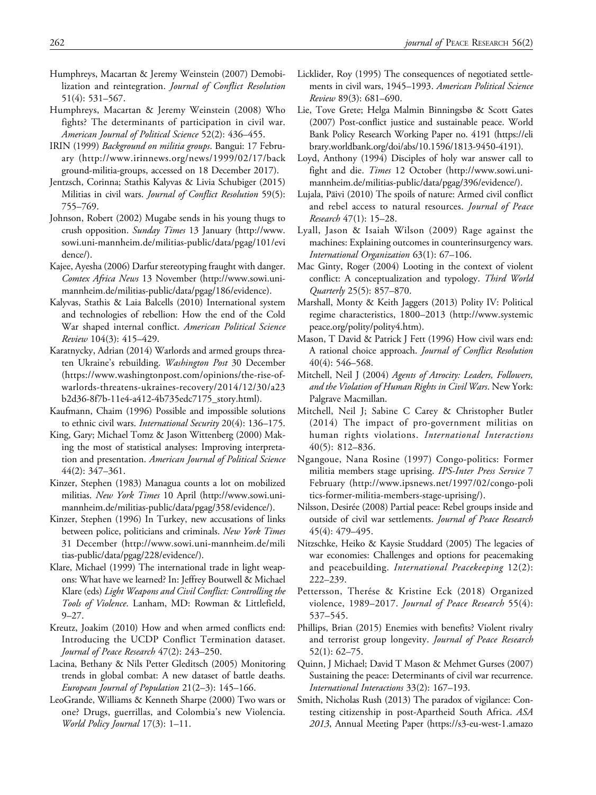- Humphreys, Macartan & Jeremy Weinstein (2007) Demobilization and reintegration. *Journal of Conflict Resolution* 51(4): 531–567.
- Humphreys, Macartan & Jeremy Weinstein (2008) Who fights? The determinants of participation in civil war. American Journal of Political Science 52(2): 436–455.
- IRIN (1999) Background on militia groups. Bangui: 17 February ([http://www.irinnews.org/news/1999/02/17/back](http://www.irinnews.org/news/1999/02/17/background-militia-groups) [ground-militia-groups,](http://www.irinnews.org/news/1999/02/17/background-militia-groups) accessed on 18 December 2017).
- Jentzsch, Corinna; Stathis Kalyvas & Livia Schubiger (2015) Militias in civil wars. *Journal of Conflict Resolution* 59(5): 755–769.
- Johnson, Robert (2002) Mugabe sends in his young thugs to crush opposition. Sunday Times 13 January [\(http://www.](http://www.sowi.uni-mannheim.de/militias-public/data/pgag/101/evidence/) [sowi.uni-mannheim.de/militias-public/data/pgag/101/evi](http://www.sowi.uni-mannheim.de/militias-public/data/pgag/101/evidence/) [dence/\)](http://www.sowi.uni-mannheim.de/militias-public/data/pgag/101/evidence/).
- Kajee, Ayesha (2006) Darfur stereotyping fraught with danger. Comtex Africa News 13 November ([http://www.sowi.uni](http://www.sowi.uni-mannheim.de/militias-public/data/pgag/186/evidence)[mannheim.de/militias-public/data/pgag/186/evidence](http://www.sowi.uni-mannheim.de/militias-public/data/pgag/186/evidence)).
- Kalyvas, Stathis & Laia Balcells (2010) International system and technologies of rebellion: How the end of the Cold War shaped internal conflict. American Political Science Review 104(3): 415–429.
- Karatnycky, Adrian (2014) Warlords and armed groups threaten Ukraine's rebuilding. Washington Post 30 December ([https://www.washingtonpost.com/opinions/the-rise-of](https://www.washingtonpost.com/opinions/the-rise-of-warlords-threatens-ukraines-recovery/2014/12/30/a23b2d36-8f7b-11e4-a412-4b735edc7175_story.html)[warlords-threatens-ukraines-recovery/2014/12/30/a23](https://www.washingtonpost.com/opinions/the-rise-of-warlords-threatens-ukraines-recovery/2014/12/30/a23b2d36-8f7b-11e4-a412-4b735edc7175_story.html) [b2d36-8f7b-11e4-a412-4b735edc7175\\_story.html](https://www.washingtonpost.com/opinions/the-rise-of-warlords-threatens-ukraines-recovery/2014/12/30/a23b2d36-8f7b-11e4-a412-4b735edc7175_story.html)).
- Kaufmann, Chaim (1996) Possible and impossible solutions to ethnic civil wars. International Security 20(4): 136–175.
- King, Gary; Michael Tomz & Jason Wittenberg (2000) Making the most of statistical analyses: Improving interpretation and presentation. American Journal of Political Science 44(2): 347–361.
- Kinzer, Stephen (1983) Managua counts a lot on mobilized militias. New York Times 10 April ([http://www.sowi.uni](http://www.sowi.uni-mannheim.de/militias-public/data/pgag/358/evidence/)[mannheim.de/militias-public/data/pgag/358/evidence/\)](http://www.sowi.uni-mannheim.de/militias-public/data/pgag/358/evidence/).
- Kinzer, Stephen (1996) In Turkey, new accusations of links between police, politicians and criminals. New York Times 31 December ([http://www.sowi.uni-mannheim.de/mili](http://www.sowi.uni-mannheim.de/militias-public/data/pgag/228/evidence/) [tias-public/data/pgag/228/evidence/](http://www.sowi.uni-mannheim.de/militias-public/data/pgag/228/evidence/)).
- Klare, Michael (1999) The international trade in light weapons: What have we learned? In: Jeffrey Boutwell & Michael Klare (eds) Light Weapons and Civil Conflict: Controlling the Tools of Violence. Lanham, MD: Rowman & Littlefield, 9–27.
- Kreutz, Joakim (2010) How and when armed conflicts end: Introducing the UCDP Conflict Termination dataset. Journal of Peace Research 47(2): 243–250.
- Lacina, Bethany & Nils Petter Gleditsch (2005) Monitoring trends in global combat: A new dataset of battle deaths. European Journal of Population 21(2–3): 145–166.
- LeoGrande, Williams & Kenneth Sharpe (2000) Two wars or one? Drugs, guerrillas, and Colombia's new Violencia. World Policy Journal 17(3): 1–11.
- Licklider, Roy (1995) The consequences of negotiated settlements in civil wars, 1945–1993. American Political Science Review 89(3): 681–690.
- Lie, Tove Grete; Helga Malmin Binningsbø & Scott Gates (2007) Post-conflict justice and sustainable peace. World Bank Policy Research Working Paper no. 4191 ([https://eli](https://elibrary.worldbank.org/doi/abs/10.1596/1813-9450-4191) [brary.worldbank.org/doi/abs/10.1596/1813-9450-4191\)](https://elibrary.worldbank.org/doi/abs/10.1596/1813-9450-4191).
- Loyd, Anthony (1994) Disciples of holy war answer call to fight and die. Times 12 October ([http://www.sowi.uni](http://www.sowi.uni-mannheim.de/militias-public/data/pgag/396/evidence/)[mannheim.de/militias-public/data/pgag/396/evidence/](http://www.sowi.uni-mannheim.de/militias-public/data/pgag/396/evidence/)).
- Lujala, Päivi (2010) The spoils of nature: Armed civil conflict and rebel access to natural resources. Journal of Peace Research 47(1): 15–28.
- Lyall, Jason & Isaiah Wilson (2009) Rage against the machines: Explaining outcomes in counterinsurgency wars. International Organization 63(1): 67–106.
- Mac Ginty, Roger (2004) Looting in the context of violent conflict: A conceptualization and typology. Third World Quarterly 25(5): 857–870.
- Marshall, Monty & Keith Jaggers (2013) Polity IV: Political regime characteristics, 1800–2013 ([http://www.systemic](http://www.systemicpeace.org/polity/polity4.htm) [peace.org/polity/polity4.htm\)](http://www.systemicpeace.org/polity/polity4.htm).
- Mason, T David & Patrick J Fett (1996) How civil wars end: A rational choice approach. Journal of Conflict Resolution 40(4): 546–568.
- Mitchell, Neil J (2004) Agents of Atrocity: Leaders, Followers, and the Violation of Human Rights in Civil Wars. New York: Palgrave Macmillan.
- Mitchell, Neil J; Sabine C Carey & Christopher Butler (2014) The impact of pro-government militias on human rights violations. International Interactions 40(5): 812–836.
- Ngangoue, Nana Rosine (1997) Congo-politics: Former militia members stage uprising. IPS-Inter Press Service 7 February [\(http://www.ipsnews.net/1997/02/congo-poli](http://www.ipsnews.net/1997/02/congo-politics-former-militia-members-stage-uprising/) [tics-former-militia-members-stage-uprising/\)](http://www.ipsnews.net/1997/02/congo-politics-former-militia-members-stage-uprising/).
- Nilsson, Desirée (2008) Partial peace: Rebel groups inside and outside of civil war settlements. Journal of Peace Research 45(4): 479–495.
- Nitzschke, Heiko & Kaysie Studdard (2005) The legacies of war economies: Challenges and options for peacemaking and peacebuilding. International Peacekeeping 12(2): 222–239.
- Pettersson, Therése & Kristine Eck (2018) Organized violence, 1989–2017. Journal of Peace Research 55(4): 537–545.
- Phillips, Brian (2015) Enemies with benefits? Violent rivalry and terrorist group longevity. Journal of Peace Research 52(1): 62–75.
- Quinn, J Michael; David T Mason & Mehmet Gurses (2007) Sustaining the peace: Determinants of civil war recurrence. International Interactions 33(2): 167–193.
- Smith, Nicholas Rush (2013) The paradox of vigilance: Contesting citizenship in post-Apartheid South Africa. ASA 2013, Annual Meeting Paper ([https://s3-eu-west-1.amazo](https://s3-eu-west-1.amazonaws.com/s3.sourceafrica.net/documents/15540/the-paradox-of-vigilance-by-nicholas-rush-smith.pdf)